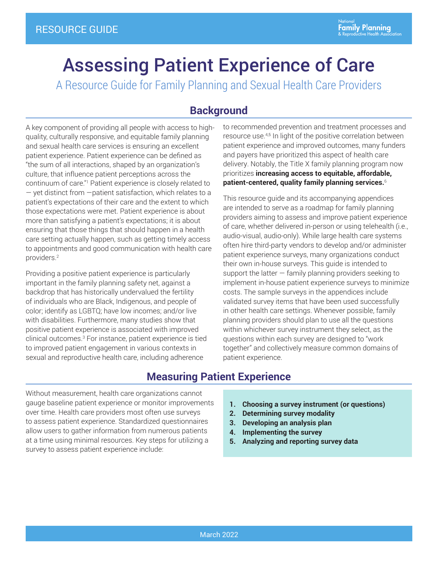<span id="page-0-0"></span>A Resource Guide for Family Planning and Sexual Health Care Providers

# **Background**

A key component of providing all people with access to highquality, culturally responsive, and equitable family planning and sexual health care services is ensuring an excellent patient experience. Patient experience can be defined as "the sum of all interactions, shaped by an organization's culture, that influence patient perceptions across the continuum of care."[1](#page-8-0) Patient experience is closely related to — yet distinct from —patient satisfaction, which relates to a patient's expectations of their care and the extent to which those expectations were met. Patient experience is about more than satisfying a patient's expectations; it is about ensuring that those things that should happen in a health care setting actually happen, such as getting timely access to appointments and good communication with health care providers[.2](#page-8-0)

Providing a positive patient experience is particularly important in the family planning safety net, against a backdrop that has historically undervalued the fertility of individuals who are Black, Indigenous, and people of color; identify as LGBTQ; have low incomes; and/or live with disabilities. Furthermore, many studies show that positive patient experience is associated with improved clinical outcomes.[3](#page-8-0) For instance, patient experience is tied to improved patient engagement in various contexts in sexual and reproductive health care, including adherence

to recommended prevention and treatment processes and resource use.<sup>[4,5](#page-8-0)</sup> In light of the positive correlation between patient experience and improved outcomes, many funders and payers have prioritized this aspect of health care delivery. Notably, the Title X family planning program now prioritizes **increasing access to equitable, affordable, patient-centered, quality family planning services.**[6](#page-8-0)

This resource guide and its accompanying appendices are intended to serve as a roadmap for family planning providers aiming to assess and improve patient experience of care, whether delivered in-person or using telehealth (i.e., audio-visual, audio-only). While large health care systems often hire third-party vendors to develop and/or administer patient experience surveys, many organizations conduct their own in-house surveys. This guide is intended to support the latter  $-$  family planning providers seeking to implement in-house patient experience surveys to minimize costs. The sample surveys in the appendices include validated survey items that have been used successfully in other health care settings. Whenever possible, family planning providers should plan to use all the questions within whichever survey instrument they select, as the questions within each survey are designed to "work together" and collectively measure common domains of patient experience.

# **Measuring Patient Experience**

Without measurement, health care organizations cannot gauge baseline patient experience or monitor improvements over time. Health care providers most often use surveys to assess patient experience. Standardized questionnaires allow users to gather information from numerous patients at a time using minimal resources. Key steps for utilizing a survey to assess patient experience include:

- **1. Choosing a survey instrument (or questions)**
- **2. Determining survey modality**
- **3. Developing an analysis plan**
- **4. Implementing the survey**
- **5. Analyzing and reporting survey data**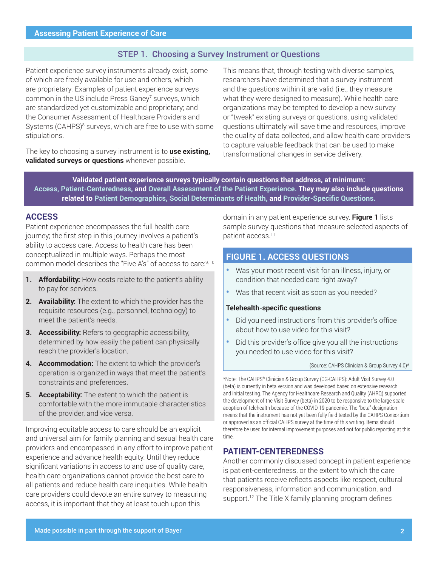## STEP 1. Choosing a Survey Instrument or Questions

<span id="page-1-0"></span>Patient experience survey instruments already exist, some of which are freely available for use and others, which are proprietary. Examples of patient experience surveys common in the US include Press Ganey<sup>[7](#page-8-0)</sup> surveys, which are standardized yet customizable and proprietary; and the Consumer Assessment of Healthcare Providers and Systems (CAHPS)<sup>8</sup> surveys, which are free to use with some stipulations.

The key to choosing a survey instrument is to **use existing, validated surveys or questions** whenever possible.

This means that, through testing with diverse samples, researchers have determined that a survey instrument and the questions within it are valid (i.e., they measure what they were designed to measure). While health care organizations may be tempted to develop a new survey or "tweak" existing surveys or questions, using validated questions ultimately will save time and resources, improve the quality of data collected, and allow health care providers to capture valuable feedback that can be used to make transformational changes in service delivery.

**Validated patient experience surveys typically contain questions that address, at minimum: Access, Patient-Centeredness, and Overall Assessment of the Patient Experience. They may also include questions related to Patient Demographics, Social Determinants of Health, and Provider-Specific Questions.**

## **ACCESS**

Patient experience encompasses the full health care journey; the first step in this journey involves a patient's ability to access care. Access to health care has been conceptualized in multiple ways. Perhaps the most common model describes the "Five A's" of access to care[:9, 10](#page-8-0)

- **1. Affordability:** How costs relate to the patient's ability to pay for services.
- **2. Availability:** The extent to which the provider has the requisite resources (e.g., personnel, technology) to meet the patient's needs.
- **3. Accessibility:** Refers to geographic accessibility, determined by how easily the patient can physically reach the provider's location.
- **4. Accommodation:** The extent to which the provider's operation is organized in ways that meet the patient's constraints and preferences.
- **5. Acceptability:** The extent to which the patient is comfortable with the more immutable characteristics of the provider, and vice versa.

Improving equitable access to care should be an explicit and universal aim for family planning and sexual health care providers and encompassed in any effort to improve patient experience and advance health equity. Until they reduce significant variations in access to and use of quality care, health care organizations cannot provide the best care to all patients and reduce health care inequities. While health care providers could devote an entire survey to measuring access, it is important that they at least touch upon this

domain in any patient experience survey. **Figure 1** lists sample survey questions that measure selected aspects of patient access.<sup>11</sup>

# **FIGURE 1. ACCESS QUESTIONS**

- **•** Was your most recent visit for an illness, injury, or condition that needed care right away?
- **•** Was that recent visit as soon as you needed?

#### **Telehealth-specific questions**

- **•** Did you need instructions from this provider's office about how to use video for this visit?
- **•** Did this provider's office give you all the instructions you needed to use video for this visit?

#### (Source: CAHPS Clinician & Group Survey 4.0)\*

\*Note: The CAHPS® Clinician & Group Survey (CG-CAHPS): Adult Visit Survey 4.0 (beta) is currently in beta version and was developed based on extensive research and initial testing. The Agency for Healthcare Research and Quality (AHRQ) supported the development of the Visit Survey (beta) in 2020 to be responsive to the large-scale adoption of telehealth because of the COVID-19 pandemic. The "beta" designation means that the instrument has not yet been fully field tested by the CAHPS Consortium or approved as an official CAHPS survey at the time of this writing. Items should therefore be used for internal improvement purposes and not for public reporting at this time.

## **PATIENT-CENTEREDNESS**

Another commonly discussed concept in patient experience is patient-centeredness, or the extent to which the care that patients receive reflects aspects like respect, cultural responsiveness, information and communication, and support.<sup>[12](#page-8-0)</sup> The Title X family planning program defines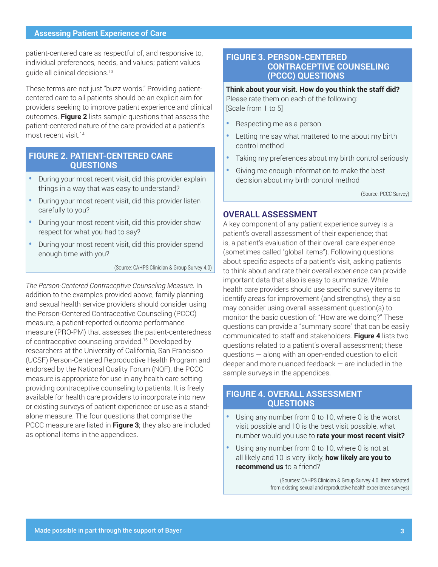<span id="page-2-0"></span>patient-centered care as respectful of, and responsive to, individual preferences, needs, and values; patient values guide all clinical decisions.[13](#page-8-0)

These terms are not just "buzz words." Providing patientcentered care to all patients should be an explicit aim for providers seeking to improve patient experience and clinical outcomes. **Figure 2** lists sample questions that assess the patient-centered nature of the care provided at a patient's most recent visit.[14](#page-8-0)

## **FIGURE 2. PATIENT-CENTERED CARE QUESTIONS**

- **•** During your most recent visit, did this provider explain things in a way that was easy to understand?
- **•** During your most recent visit, did this provider listen carefully to you?
- **•** During your most recent visit, did this provider show respect for what you had to say?
- **•** During your most recent visit, did this provider spend enough time with you?

(Source: CAHPS Clinician & Group Survey 4.0)

*The Person-Centered Contraceptive Counseling Measure.* In addition to the examples provided above, family planning and sexual health service providers should consider using the Person-Centered Contraceptive Counseling (PCCC) measure, a patient-reported outcome performance measure (PRO-PM) that assesses the patient-centeredness of contraceptive counseling provided.[15](#page-8-0) Developed by researchers at the University of California, San Francisco (UCSF) Person-Centered Reproductive Health Program and endorsed by the National Quality Forum (NQF), the PCCC measure is appropriate for use in any health care setting providing contraceptive counseling to patients. It is freely available for health care providers to incorporate into new or existing surveys of patient experience or use as a standalone measure. The four questions that comprise the PCCC measure are listed in **Figure 3**; they also are included as optional items in the appendices.

## **FIGURE 3. PERSON-CENTERED CONTRACEPTIVE COUNSELING (PCCC) QUESTIONS**

**Think about your visit. How do you think the staff did?** Please rate them on each of the following: [Scale from 1 to 5]

- **•** Respecting me as a person
- **•** Letting me say what mattered to me about my birth control method
- **•** Taking my preferences about my birth control seriously
- **•** Giving me enough information to make the best decision about my birth control method

(Source: PCCC Survey)

## **OVERALL ASSESSMENT**

A key component of any patient experience survey is a patient's overall assessment of their experience; that is, a patient's evaluation of their overall care experience (sometimes called "global items"). Following questions about specific aspects of a patient's visit, asking patients to think about and rate their overall experience can provide important data that also is easy to summarize. While health care providers should use specific survey items to identify areas for improvement (and strengths), they also may consider using overall assessment question(s) to monitor the basic question of: "How are we doing?" These questions can provide a "summary score" that can be easily communicated to staff and stakeholders. **Figure 4** lists two questions related to a patient's overall assessment; these questions — along with an open-ended question to elicit deeper and more nuanced feedback — are included in the sample surveys in the appendices.

## **FIGURE 4. OVERALL ASSESSMENT QUESTIONS**

- **•** Using any number from 0 to 10, where 0 is the worst visit possible and 10 is the best visit possible, what number would you use to **rate your most recent visit?**
- **•** Using any number from 0 to 10, where 0 is not at all likely and 10 is very likely, **how likely are you to recommend us** to a friend?

(Sources: CAHPS Clinician & Group Survey 4.0; Item adapted from existing sexual and reproductive health experience surveys)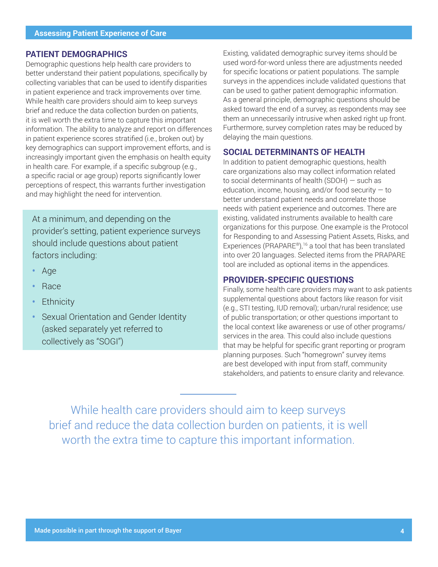## <span id="page-3-0"></span>**PATIENT DEMOGRAPHICS**

Demographic questions help health care providers to better understand their patient populations, specifically by collecting variables that can be used to identify disparities in patient experience and track improvements over time. While health care providers should aim to keep surveys brief and reduce the data collection burden on patients, it is well worth the extra time to capture this important information. The ability to analyze and report on differences in patient experience scores stratified (i.e., broken out) by key demographics can support improvement efforts, and is increasingly important given the emphasis on health equity in health care. For example, if a specific subgroup (e.g., a specific racial or age group) reports significantly lower perceptions of respect, this warrants further investigation and may highlight the need for intervention.

At a minimum, and depending on the provider's setting, patient experience surveys should include questions about patient factors including:

- **•** Age
- **•** Race
- **•** Ethnicity
- **•** Sexual Orientation and Gender Identity (asked separately yet referred to collectively as "SOGI")

Existing, validated demographic survey items should be used word-for-word unless there are adjustments needed for specific locations or patient populations. The sample surveys in the appendices include validated questions that can be used to gather patient demographic information. As a general principle, demographic questions should be asked toward the end of a survey, as respondents may see them an unnecessarily intrusive when asked right up front. Furthermore, survey completion rates may be reduced by delaying the main questions.

## **SOCIAL DETERMINANTS OF HEALTH**

In addition to patient demographic questions, health care organizations also may collect information related to social determinants of health (SDOH) — such as education, income, housing, and/or food security  $-$  to better understand patient needs and correlate those needs with patient experience and outcomes. There are existing, validated instruments available to health care organizations for this purpose. One example is the Protocol for Responding to and Assessing Patient Assets, Risks, and Experiences (PRAPARE®),<sup>[16](#page-8-0)</sup> a tool that has been translated into over 20 languages. Selected items from the PRAPARE tool are included as optional items in the appendices.

## **PROVIDER-SPECIFIC QUESTIONS**

Finally, some health care providers may want to ask patients supplemental questions about factors like reason for visit (e.g., STI testing, IUD removal); urban/rural residence; use of public transportation; or other questions important to the local context like awareness or use of other programs/ services in the area. This could also include questions that may be helpful for specific grant reporting or program planning purposes. Such "homegrown" survey items are best developed with input from staff, community stakeholders, and patients to ensure clarity and relevance.

While health care providers should aim to keep surveys brief and reduce the data collection burden on patients, it is well worth the extra time to capture this important information.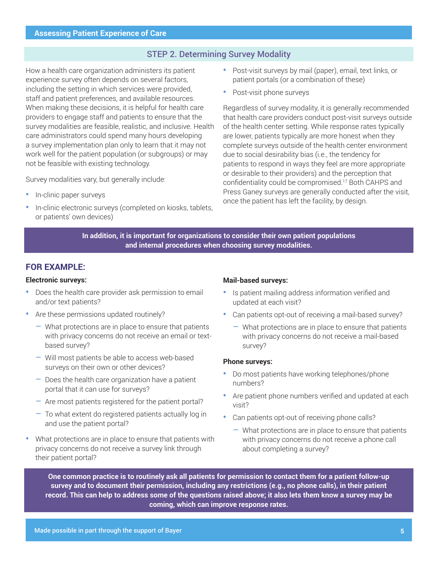# STEP 2. Determining Survey Modality

<span id="page-4-0"></span>How a health care organization administers its patient experience survey often depends on several factors, including the setting in which services were provided, staff and patient preferences, and available resources. When making these decisions, it is helpful for health care providers to engage staff and patients to ensure that the survey modalities are feasible, realistic, and inclusive. Health care administrators could spend many hours developing a survey implementation plan only to learn that it may not work well for the patient population (or subgroups) or may not be feasible with existing technology.

Survey modalities vary, but generally include:

- **•** In-clinic paper surveys
- **•** In-clinic electronic surveys (completed on kiosks, tablets, or patients' own devices)
- **•** Post-visit surveys by mail (paper), email, text links, or patient portals (or a combination of these)
- **•** Post-visit phone surveys

Regardless of survey modality, it is generally recommended that health care providers conduct post-visit surveys outside of the health center setting. While response rates typically are lower, patients typically are more honest when they complete surveys outside of the health center environment due to social desirability bias (i.e., the tendency for patients to respond in ways they feel are more appropriate or desirable to their providers) and the perception that confidentiality could be compromised.[17](#page-8-0) Both CAHPS and Press Ganey surveys are generally conducted after the visit, once the patient has left the facility, by design.

**In addition, it is important for organizations to consider their own patient populations and internal procedures when choosing survey modalities.** 

## **FOR EXAMPLE:**

## **Electronic surveys:**

- **•** Does the health care provider ask permission to email and/or text patients?
- **•** Are these permissions updated routinely?
	- What protections are in place to ensure that patients with privacy concerns do not receive an email or textbased survey?
	- Will most patients be able to access web-based surveys on their own or other devices?
	- $-$  Does the health care organization have a patient portal that it can use for surveys?
	- Are most patients registered for the patient portal?
	- To what extent do registered patients actually log in and use the patient portal?
- **•** What protections are in place to ensure that patients with privacy concerns do not receive a survey link through their patient portal?

#### **Mail-based surveys:**

- **•** Is patient mailing address information verified and updated at each visit?
- **•** Can patients opt-out of receiving a mail-based survey?
	- What protections are in place to ensure that patients with privacy concerns do not receive a mail-based survey?

## **Phone surveys:**

- **•** Do most patients have working telephones/phone numbers?
- **•** Are patient phone numbers verified and updated at each visit?
- **•** Can patients opt-out of receiving phone calls?
	- What protections are in place to ensure that patients with privacy concerns do not receive a phone call about completing a survey?

**One common practice is to routinely ask all patients for permission to contact them for a patient follow-up survey and to document their permission, including any restrictions (e.g., no phone calls), in their patient record. This can help to address some of the questions raised above; it also lets them know a survey may be coming, which can improve response rates.**

Made possible in part through the support of Bayer **5**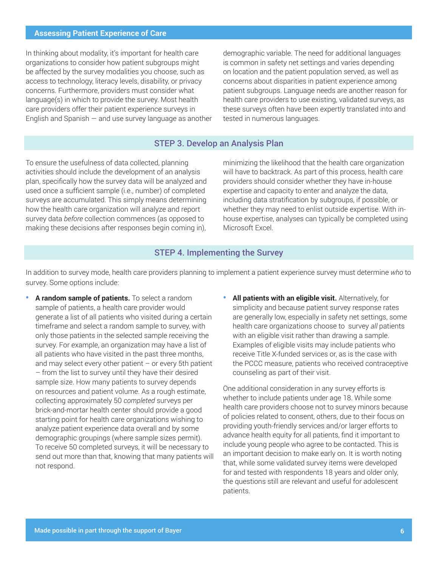In thinking about modality, it's important for health care organizations to consider how patient subgroups might be affected by the survey modalities you choose, such as access to technology, literacy levels, disability, or privacy concerns. Furthermore, providers must consider what language(s) in which to provide the survey. Most health care providers offer their patient experience surveys in English and Spanish  $-$  and use survey language as another demographic variable. The need for additional languages is common in safety net settings and varies depending on location and the patient population served, as well as concerns about disparities in patient experience among patient subgroups. Language needs are another reason for health care providers to use existing, validated surveys, as these surveys often have been expertly translated into and tested in numerous languages.

## STEP 3. Develop an Analysis Plan

To ensure the usefulness of data collected, planning activities should include the development of an analysis plan, specifically how the survey data will be analyzed and used once a sufficient sample (i.e., number) of completed surveys are accumulated. This simply means determining how the health care organization will analyze and report survey data *before* collection commences (as opposed to making these decisions after responses begin coming in),

minimizing the likelihood that the health care organization will have to backtrack. As part of this process, health care providers should consider whether they have in-house expertise and capacity to enter and analyze the data, including data stratification by subgroups, if possible, or whether they may need to enlist outside expertise. With inhouse expertise, analyses can typically be completed using Microsoft Excel.

## STEP 4. Implementing the Survey

In addition to survey mode, health care providers planning to implement a patient experience survey must determine *who* to survey. Some options include:

- **• A random sample of patients.** To select a random sample of patients, a health care provider would generate a list of all patients who visited during a certain timeframe and select a random sample to survey, with only those patients in the selected sample receiving the survey. For example, an organization may have a list of all patients who have visited in the past three months, and may select every other patient  $-$  or every 5th patient – from the list to survey until they have their desired sample size. How many patients to survey depends on resources and patient volume. As a rough estimate, collecting approximately 50 *completed* surveys per brick-and-mortar health center should provide a good starting point for health care organizations wishing to analyze patient experience data overall and by some demographic groupings (where sample sizes permit). To receive 50 completed surveys, it will be necessary to send out more than that, knowing that many patients will not respond.
- **• All patients with an eligible visit.** Alternatively, for simplicity and because patient survey response rates are generally low, especially in safety net settings, some health care organizations choose to survey *all* patients with an eligible visit rather than drawing a sample. Examples of eligible visits may include patients who receive Title X-funded services or, as is the case with the PCCC measure, patients who received contraceptive counseling as part of their visit.

One additional consideration in any survey efforts is whether to include patients under age 18. While some health care providers choose not to survey minors because of policies related to consent, others, due to their focus on providing youth-friendly services and/or larger efforts to advance health equity for all patients, find it important to include young people who agree to be contacted. This is an important decision to make early on. It is worth noting that, while some validated survey items were developed for and tested with respondents 18 years and older only, the questions still are relevant and useful for adolescent patients.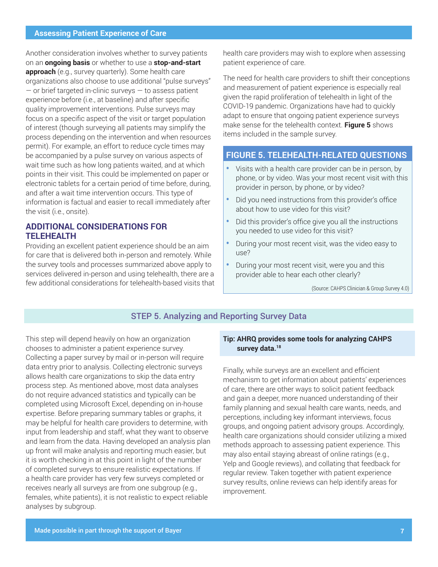<span id="page-6-0"></span>Another consideration involves whether to survey patients on an **ongoing basis** or whether to use a **stop-and-start approach** (e.g., survey quarterly). Some health care organizations also choose to use additional "pulse surveys" — or brief targeted in-clinic surveys — to assess patient experience before (i.e., at baseline) and after specific quality improvement interventions. Pulse surveys may focus on a specific aspect of the visit or target population of interest (though surveying all patients may simplify the process depending on the intervention and when resources permit). For example, an effort to reduce cycle times may be accompanied by a pulse survey on various aspects of wait time such as how long patients waited, and at which points in their visit. This could be implemented on paper or electronic tablets for a certain period of time before, during, and after a wait time intervention occurs. This type of information is factual and easier to recall immediately after the visit (i.e., onsite).

# **ADDITIONAL CONSIDERATIONS FOR TELEHEALTH**

Providing an excellent patient experience should be an aim for care that is delivered both in-person and remotely. While the survey tools and processes summarized above apply to services delivered in-person and using telehealth, there are a few additional considerations for telehealth-based visits that health care providers may wish to explore when assessing patient experience of care.

The need for health care providers to shift their conceptions and measurement of patient experience is especially real given the rapid proliferation of telehealth in light of the COVID-19 pandemic. Organizations have had to quickly adapt to ensure that ongoing patient experience surveys make sense for the telehealth context. **Figure 5** shows items included in the sample survey.

# **FIGURE 5. TELEHEALTH-RELATED QUESTIONS**

- **•** Visits with a health care provider can be in person, by phone, or by video. Was your most recent visit with this provider in person, by phone, or by video?
- **•** Did you need instructions from this provider's office about how to use video for this visit?
- **•** Did this provider's office give you all the instructions you needed to use video for this visit?
- **•** During your most recent visit, was the video easy to use?
- **•** During your most recent visit, were you and this provider able to hear each other clearly?

(Source: CAHPS Clinician & Group Survey 4.0)

## STEP 5. Analyzing and Reporting Survey Data

This step will depend heavily on how an organization chooses to administer a patient experience survey. Collecting a paper survey by mail or in-person will require data entry prior to analysis. Collecting electronic surveys allows health care organizations to skip the data entry process step. As mentioned above, most data analyses do not require advanced statistics and typically can be completed using Microsoft Excel, depending on in-house expertise. Before preparing summary tables or graphs, it may be helpful for health care providers to determine, with input from leadership and staff, what they want to observe and learn from the data. Having developed an analysis plan up front will make analysis and reporting much easier, but it is worth checking in at this point in light of the number of completed surveys to ensure realistic expectations. If a health care provider has very few surveys completed or receives nearly all surveys are from one subgroup (e.g., females, white patients), it is not realistic to expect reliable analyses by subgroup.

## **Tip: AHRQ provides some tools for analyzing CAHPS survey data[.18](#page-8-0)**

Finally, while surveys are an excellent and efficient mechanism to get information about patients' experiences of care, there are other ways to solicit patient feedback and gain a deeper, more nuanced understanding of their family planning and sexual health care wants, needs, and perceptions, including key informant interviews, focus groups, and ongoing patient advisory groups. Accordingly, health care organizations should consider utilizing a mixed methods approach to assessing patient experience. This may also entail staying abreast of online ratings (e.g., Yelp and Google reviews), and collating that feedback for regular review. Taken together with patient experience survey results, online reviews can help identify areas for improvement.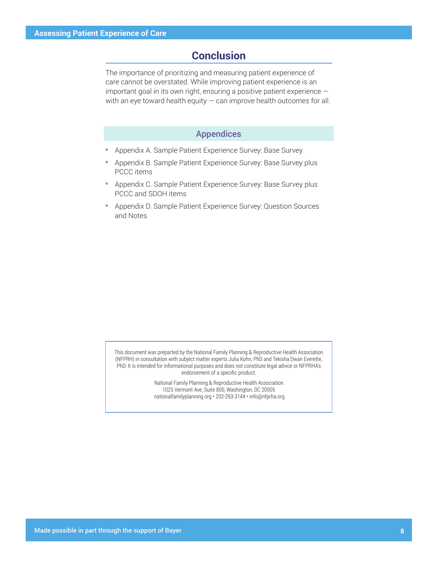# **Conclusion**

The importance of prioritizing and measuring patient experience of care cannot be overstated. While improving patient experience is an important goal in its own right, ensuring a positive patient experience with an eye toward health equity  $-$  can improve health outcomes for all.

## Appendices

- **•** Appendix A. Sample Patient Experience Survey: Base Survey
- **•** Appendix B. Sample Patient Experience Survey: Base Survey plus PCCC items
- **•** Appendix C. Sample Patient Experience Survey: Base Survey plus PCCC and SDOH items
- **•** Appendix D. Sample Patient Experience Survey: Question Sources and Notes

This document was preparted by the National Family Planning & Reproductive Health Association (NFPRH) in consultation with subject matter experts Julia Kohn, PhD and Tekisha Dwan Everette, PhD. It is intended for informational purposes and does not constitute legal advice or NFPRHA's endorsement of a specific product.

> National Family Planning & Reproductive Health Association 1025 Vermont Ave, Suite 800, Washington, DC 20005 nationalfamilyplanning.org • 202-293-3144 • info@nfprha.org